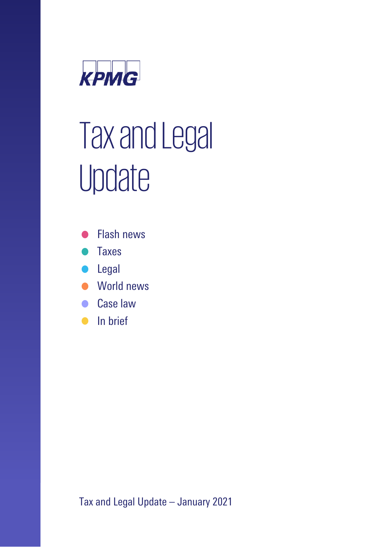

# Tax and Legal Update

- **Flash news**
- **Taxes**
- Legal
- World news
- Case law
- In brief

Tax and Legal Update – January 2021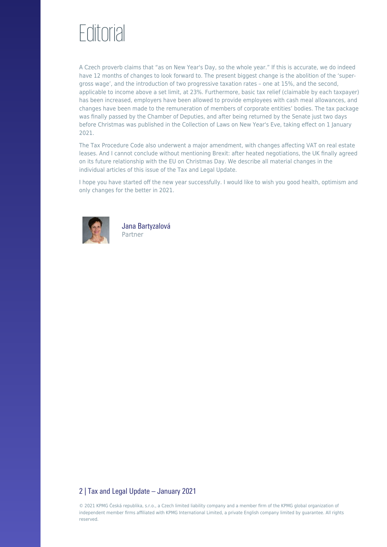# **Editorial**

A Czech proverb claims that "as on New Year's Day, so the whole year." If this is accurate, we do indeed have 12 months of changes to look forward to. The present biggest change is the abolition of the 'supergross wage', and the introduction of two progressive taxation rates – one at 15%, and the second, applicable to income above a set limit, at 23%. Furthermore, basic tax relief (claimable by each taxpayer) has been increased, employers have been allowed to provide employees with cash meal allowances, and changes have been made to the remuneration of members of corporate entities' bodies. The tax package was finally passed by the Chamber of Deputies, and after being returned by the Senate just two days before Christmas was published in the Collection of Laws on New Year's Eve, taking effect on 1 January 2021.

The Tax Procedure Code also underwent a major amendment, with changes affecting VAT on real estate leases. And I cannot conclude without mentioning Brexit: after heated negotiations, the UK finally agreed on its future relationship with the EU on Christmas Day. We describe all material changes in the individual articles of this issue of the Tax and Legal Update.

I hope you have started off the new year successfully. I would like to wish you good health, optimism and only changes for the better in 2021.



Jana Bartyzalová Partner

### 2 | Tax and Legal Update – January 2021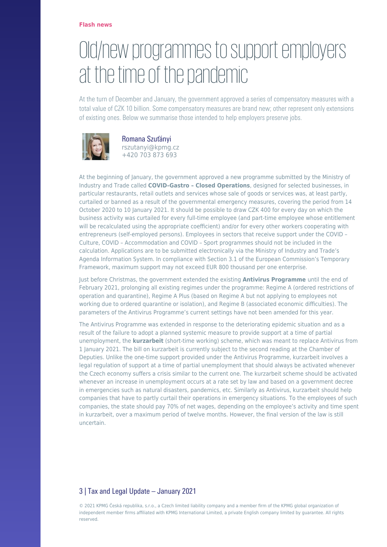### [Old/new programmes to support employers](https://danovky.cz/en/old-new-programmes-to-support-employers-at-the-time-of-the-pandemic) [at the time of the pandemic](https://danovky.cz/en/old-new-programmes-to-support-employers-at-the-time-of-the-pandemic)

At the turn of December and January, the government approved a series of compensatory measures with a total value of CZK 10 billion. Some compensatory measures are brand new; other represent only extensions of existing ones. Below we summarise those intended to help employers preserve jobs.



Romana Szuťányi rszutanyi@kpmg.cz +420 703 873 693

At the beginning of January, the government approved a new programme submitted by the Ministry of Industry and Trade called **COVID–Gastro – Closed Operations**, designed for selected businesses, in particular restaurants, retail outlets and services whose sale of goods or services was, at least partly, curtailed or banned as a result of the governmental emergency measures, covering the period from 14 October 2020 to 10 January 2021. It should be possible to draw CZK 400 for every day on which the business activity was curtailed for every full-time employee (and part-time employee whose entitlement will be recalculated using the appropriate coefficient) and/or for every other workers cooperating with entrepreneurs (self-employed persons). Employees in sectors that receive support under the COVID – Culture, COVID – Accommodation and COVID – Sport programmes should not be included in the calculation. Applications are to be submitted electronically via the Ministry of Industry and Trade's Agenda Information System. In compliance with Section 3.1 of the European Commission's Temporary Framework, maximum support may not exceed EUR 800 thousand per one enterprise.

Just before Christmas, the government extended the existing **Antivirus Programme** until the end of February 2021, prolonging all existing regimes under the programme: Regime A (ordered restrictions of operation and quarantine), Regime A Plus (based on Regime A but not applying to employees not working due to ordered quarantine or isolation), and Regime B (associated economic difficulties). The parameters of the Antivirus Programme's current settings have not been amended for this year.

The Antivirus Programme was extended in response to the deteriorating epidemic situation and as a result of the failure to adopt a planned systemic measure to provide support at a time of partial unemployment, the **kurzarbeit** (short-time working) scheme, which was meant to replace Antivirus from 1 January 2021. The bill on kurzarbeit is currently subject to the second reading at the Chamber of Deputies. Unlike the one-time support provided under the Antivirus Programme, kurzarbeit involves a legal regulation of support at a time of partial unemployment that should always be activated whenever the Czech economy suffers a crisis similar to the current one. The kurzarbeit scheme should be activated whenever an increase in unemployment occurs at a rate set by law and based on a government decree in emergencies such as natural disasters, pandemics, etc. Similarly as Antivirus, kurzarbeit should help companies that have to partly curtail their operations in emergency situations. To the employees of such companies, the state should pay 70% of net wages, depending on the employee's activity and time spent in kurzarbeit, over a maximum period of twelve months. However, the final version of the law is still uncertain.

### 3 | Tax and Legal Update – January 2021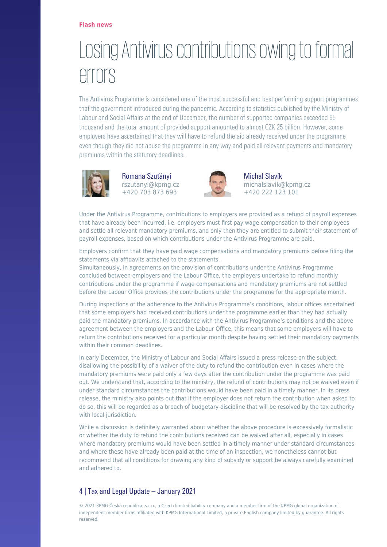#### **[Flash news](https://danovky.cz/en/category/flash-news)**

### [Losing Antivirus contributions owing to formal](https://danovky.cz/en/losing-antivirus-contributions-owing-to-formal-errors) [errors](https://danovky.cz/en/losing-antivirus-contributions-owing-to-formal-errors)

The Antivirus Programme is considered one of the most successful and best performing support programmes that the government introduced during the pandemic. According to statistics published by the Ministry of Labour and Social Affairs at the end of December, the number of supported companies exceeded 65 thousand and the total amount of provided support amounted to almost CZK 25 billion. However, some employers have ascertained that they will have to refund the aid already received under the programme even though they did not abuse the programme in any way and paid all relevant payments and mandatory premiums within the statutory deadlines.



Romana Szuťányi rszutanyi@kpmg.cz +420 703 873 693



Michal Slavík michalslavik@kpmg.cz +420 222 123 101

Under the Antivirus Programme, contributions to employers are provided as a refund of payroll expenses that have already been incurred, i.e. employers must first pay wage compensation to their employees and settle all relevant mandatory premiums, and only then they are entitled to submit their statement of payroll expenses, based on which contributions under the Antivirus Programme are paid.

Employers confirm that they have paid wage compensations and mandatory premiums before filing the statements via affidavits attached to the statements.

Simultaneously, in agreements on the provision of contributions under the Antivirus Programme concluded between employers and the Labour Office, the employers undertake to refund monthly contributions under the programme if wage compensations and mandatory premiums are not settled before the Labour Office provides the contributions under the programme for the appropriate month.

During inspections of the adherence to the Antivirus Programme's conditions, labour offices ascertained that some employers had received contributions under the programme earlier than they had actually paid the mandatory premiums. In accordance with the Antivirus Programme's conditions and the above agreement between the employers and the Labour Office, this means that some employers will have to return the contributions received for a particular month despite having settled their mandatory payments within their common deadlines.

In early December, the Ministry of Labour and Social Affairs issued a press release on the subject, disallowing the possibility of a waiver of the duty to refund the contribution even in cases where the mandatory premiums were paid only a few days after the contribution under the programme was paid out. We understand that, according to the ministry, the refund of contributions may not be waived even if under standard circumstances the contributions would have been paid in a timely manner. In its press release, the ministry also points out that if the employer does not return the contribution when asked to do so, this will be regarded as a breach of budgetary discipline that will be resolved by the tax authority with local jurisdiction.

While a discussion is definitely warranted about whether the above procedure is excessively formalistic or whether the duty to refund the contributions received can be waived after all, especially in cases where mandatory premiums would have been settled in a timely manner under standard circumstances and where these have already been paid at the time of an inspection, we nonetheless cannot but recommend that all conditions for drawing any kind of subsidy or support be always carefully examined and adhered to.

### 4 | Tax and Legal Update – January 2021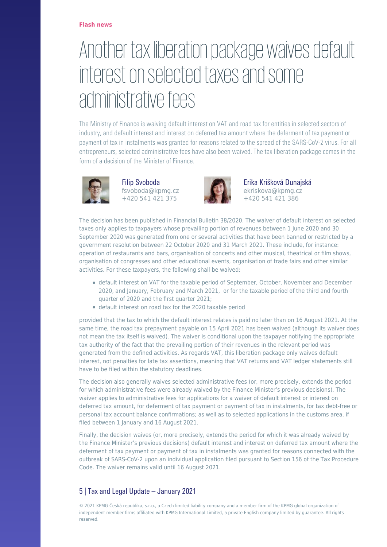# [Another tax liberation package waives default](https://danovky.cz/en/another-tax-liberation-package-waives-default-interest-on-selected-taxes-and-some-administrative-fees) [interest on selected taxes and some](https://danovky.cz/en/another-tax-liberation-package-waives-default-interest-on-selected-taxes-and-some-administrative-fees) [administrative fees](https://danovky.cz/en/another-tax-liberation-package-waives-default-interest-on-selected-taxes-and-some-administrative-fees)

The Ministry of Finance is waiving default interest on VAT and road tax for entities in selected sectors of industry, and default interest and interest on deferred tax amount where the deferment of tax payment or payment of tax in instalments was granted for reasons related to the spread of the SARS-CoV-2 virus. For all entrepreneurs, selected administrative fees have also been waived. The tax liberation package comes in the form of a decision of the Minister of Finance.



Filip Svoboda fsvoboda@kpmg.cz +420 541 421 375



Erika Krišková Dunajská ekriskova@kpmg.cz +420 541 421 386

The decision has been published in Financial Bulletin 38/2020. The waiver of default interest on selected taxes only applies to taxpayers whose prevailing portion of revenues between 1 June 2020 and 30 September 2020 was generated from one or several activities that have been banned or restricted by a government resolution between 22 October 2020 and 31 March 2021. These include, for instance: operation of restaurants and bars, organisation of concerts and other musical, theatrical or film shows, organisation of congresses and other educational events, organisation of trade fairs and other similar activities. For these taxpayers, the following shall be waived:

- default interest on VAT for the taxable period of September, October, November and December 2020, and January, February and March 2021, or for the taxable period of the third and fourth quarter of 2020 and the first quarter 2021;
- default interest on road tax for the 2020 taxable period

provided that the tax to which the default interest relates is paid no later than on 16 August 2021. At the same time, the road tax prepayment payable on 15 April 2021 has been waived (although its waiver does not mean the tax itself is waived). The waiver is conditional upon the taxpayer notifying the appropriate tax authority of the fact that the prevailing portion of their revenues in the relevant period was generated from the defined activities. As regards VAT, this liberation package only waives default interest, not penalties for late tax assertions, meaning that VAT returns and VAT ledger statements still have to be filed within the statutory deadlines.

The decision also generally waives selected administrative fees (or, more precisely, extends the period for which administrative fees were already waived by the Finance Minister's previous decisions). The waiver applies to administrative fees for applications for a waiver of default interest or interest on deferred tax amount, for deferment of tax payment or payment of tax in instalments, for tax debt-free or personal tax account balance confirmations; as well as to selected applications in the customs area, if filed between 1 January and 16 August 2021.

Finally, the decision waives (or, more precisely, extends the period for which it was already waived by the Finance Minister's previous decisions) default interest and interest on deferred tax amount where the deferment of tax payment or payment of tax in instalments was granted for reasons connected with the outbreak of SARS-CoV-2 upon an individual application filed pursuant to Section 156 of the Tax Procedure Code. The waiver remains valid until 16 August 2021.

### 5 | Tax and Legal Update – January 2021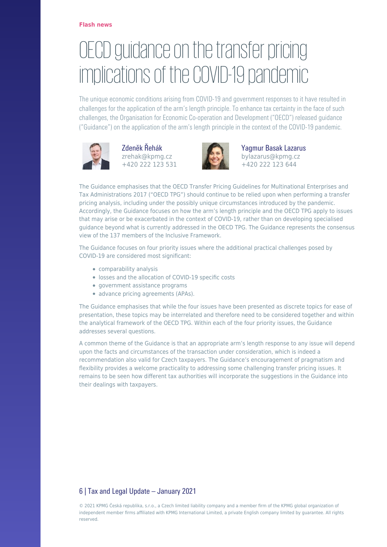# [OECD guidance on the transfer pricing](https://danovky.cz/en/oecd-guidance-on-the-transfer-pricing-implications-of-the-covid-19-pandemic) [implications of the COVID-19 pandemic](https://danovky.cz/en/oecd-guidance-on-the-transfer-pricing-implications-of-the-covid-19-pandemic)

The unique economic conditions arising from COVID-19 and government responses to it have resulted in challenges for the application of the arm's length principle. To enhance tax certainty in the face of such challenges, the Organisation for Economic Co-operation and Development ("OECD") released guidance ("Guidance") on the application of the arm's length principle in the context of the COVID-19 pandemic.



Zdeněk Řehák zrehak@kpmg.cz +420 222 123 531



Yagmur Basak Lazarus bylazarus@kpmg.cz +420 222 123 644

The Guidance emphasises that the OECD Transfer Pricing Guidelines for Multinational Enterprises and Tax Administrations 2017 ("OECD TPG") should continue to be relied upon when performing a transfer pricing analysis, including under the possibly unique circumstances introduced by the pandemic. Accordingly, the Guidance focuses on how the arm's length principle and the OECD TPG apply to issues that may arise or be exacerbated in the context of COVID-19, rather than on developing specialised guidance beyond what is currently addressed in the OECD TPG. The Guidance represents the consensus view of the 137 members of the Inclusive Framework.

The Guidance focuses on four priority issues where the additional practical challenges posed by COVID-19 are considered most significant:

- comparability analysis
- losses and the allocation of COVID-19 specific costs
- government assistance programs
- advance pricing agreements (APAs).

The Guidance emphasises that while the four issues have been presented as discrete topics for ease of presentation, these topics may be interrelated and therefore need to be considered together and within the analytical framework of the OECD TPG. Within each of the four priority issues, the Guidance addresses several questions.

A common theme of the Guidance is that an appropriate arm's length response to any issue will depend upon the facts and circumstances of the transaction under consideration, which is indeed a recommendation also valid for Czech taxpayers. The Guidance's encouragement of pragmatism and flexibility provides a welcome practicality to addressing some challenging transfer pricing issues. It remains to be seen how different tax authorities will incorporate the suggestions in the Guidance into their dealings with taxpayers.

### 6 | Tax and Legal Update – January 2021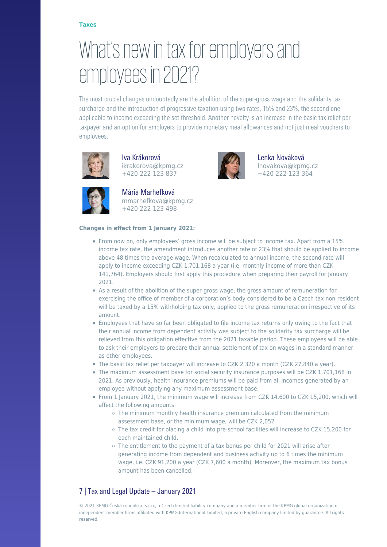# [What's new in tax for employers and](https://danovky.cz/en/what-s-new-in-tax-for-employers-and-employees-in-2021) [employees in 2021?](https://danovky.cz/en/what-s-new-in-tax-for-employers-and-employees-in-2021)

The most crucial changes undoubtedly are the abolition of the super-gross wage and the solidarity tax surcharge and the introduction of progressive taxation using two rates, 15% and 23%, the second one applicable to income exceeding the set threshold. Another novelty is an increase in the basic tax relief per taxpayer and an option for employers to provide monetary meal allowances and not just meal vouchers to employees.



Iva Krákorová ikrakorova@kpmg.cz +420 222 123 837



Lenka Nováková lnovakova@kpmg.cz +420 222 123 364



Mária Marhefková mmarhefkova@kpmg.cz +420 222 123 498

#### **Changes in effect from 1 January 2021:**

- From now on, only employees' gross income will be subject to income tax. Apart from a 15% income tax rate, the amendment introduces another rate of 23% that should be applied to income above 48 times the average wage. When recalculated to annual income, the second rate will apply to income exceeding CZK 1,701,168 a year (i.e. monthly income of more than CZK 141,764). Employers should first apply this procedure when preparing their payroll for January 2021.
- As a result of the abolition of the super-gross wage, the gross amount of remuneration for exercising the office of member of a corporation's body considered to be a Czech tax non-resident will be taxed by a 15% withholding tax only, applied to the gross remuneration irrespective of its amount.
- Employees that have so far been obligated to file income tax returns only owing to the fact that their annual income from dependent activity was subject to the solidarity tax surcharge will be relieved from this obligation effective from the 2021 taxable period. These employees will be able to ask their employers to prepare their annual settlement of tax on wages in a standard manner as other employees.
- The basic tax relief per taxpayer will increase to CZK 2,320 a month (CZK 27,840 a year).
- The maximum assessment base for social security insurance purposes will be CZK 1,701,168 in 2021. As previously, health insurance premiums will be paid from all incomes generated by an employee without applying any maximum assessment base.
- From 1 January 2021, the minimum wage will increase from CZK 14,600 to CZK 15,200, which will affect the following amounts:
	- $\circ$  The minimum monthly health insurance premium calculated from the minimum assessment base, or the minimum wage, will be CZK 2,052.
	- The tax credit for placing a child into pre-school facilities will increase to CZK 15,200 for each maintained child.
	- The entitlement to the payment of a tax bonus per child for 2021 will arise after generating income from dependent and business activity up to 6 times the minimum wage, i.e. CZK 91,200 a year (CZK 7,600 a month). Moreover, the maximum tax bonus amount has been cancelled.

### 7 | Tax and Legal Update – January 2021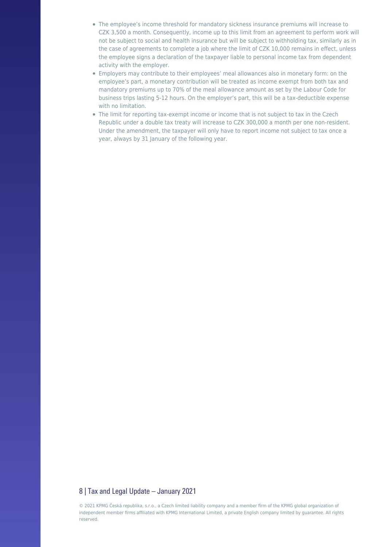- The employee's income threshold for mandatory sickness insurance premiums will increase to CZK 3,500 a month. Consequently, income up to this limit from an agreement to perform work will not be subject to social and health insurance but will be subject to withholding tax, similarly as in the case of agreements to complete a job where the limit of CZK 10,000 remains in effect, unless the employee signs a declaration of the taxpayer liable to personal income tax from dependent activity with the employer.
- Employers may contribute to their employees' meal allowances also in monetary form: on the employee's part, a monetary contribution will be treated as income exempt from both tax and mandatory premiums up to 70% of the meal allowance amount as set by the Labour Code for business trips lasting 5-12 hours. On the employer's part, this will be a tax-deductible expense with no limitation.
- The limit for reporting tax-exempt income or income that is not subject to tax in the Czech Republic under a double tax treaty will increase to CZK 300,000 a month per one non-resident. Under the amendment, the taxpayer will only have to report income not subject to tax once a year, always by 31 January of the following year.

#### 8 | Tax and Legal Update – January 2021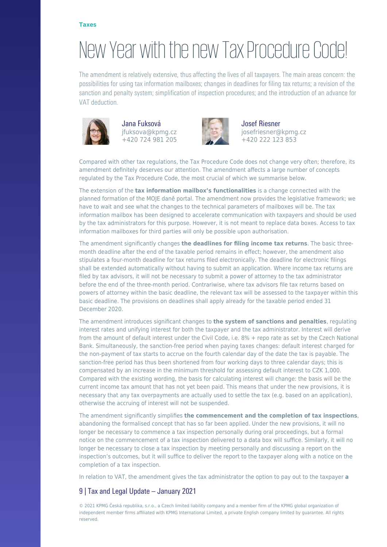# [New Year with the new Tax Procedure Code!](https://danovky.cz/en/new-year-with-the-new-tax-procedure-code)

The amendment is relatively extensive, thus affecting the lives of all taxpayers. The main areas concern: the possibilities for using tax information mailboxes; changes in deadlines for filing tax returns; a revision of the sanction and penalty system; simplification of inspection procedures; and the introduction of an advance for VAT deduction.



Jana Fuksová jfuksova@kpmg.cz +420 724 981 205



Josef Riesner josefriesner@kpmg.cz +420 222 123 853

Compared with other tax regulations, the Tax Procedure Code does not change very often; therefore, its amendment definitely deserves our attention. The amendment affects a large number of concepts regulated by the Tax Procedure Code, the most crucial of which we summarise below.

The extension of the **tax information mailbox's functionalities** is a change connected with the planned formation of the MOJE daně portal. The amendment now provides the legislative framework; we have to wait and see what the changes to the technical parameters of mailboxes will be. The tax information mailbox has been designed to accelerate communication with taxpayers and should be used by the tax administrators for this purpose. However, it is not meant to replace data boxes. Access to tax information mailboxes for third parties will only be possible upon authorisation.

The amendment significantly changes **the deadlines for filing income tax returns**. The basic threemonth deadline after the end of the taxable period remains in effect; however, the amendment also stipulates a four-month deadline for tax returns filed electronically. The deadline for electronic filings shall be extended automatically without having to submit an application. Where income tax returns are filed by tax advisors, it will not be necessary to submit a power of attorney to the tax administrator before the end of the three-month period. Contrariwise, where tax advisors file tax returns based on powers of attorney within the basic deadline, the relevant tax will be assessed to the taxpayer within this basic deadline. The provisions on deadlines shall apply already for the taxable period ended 31 December 2020.

The amendment introduces significant changes to **the system of sanctions and penalties**, regulating interest rates and unifying interest for both the taxpayer and the tax administrator. Interest will derive from the amount of default interest under the Civil Code, i.e. 8% + repo rate as set by the Czech National Bank. Simultaneously, the sanction-free period when paying taxes changes: default interest charged for the non-payment of tax starts to accrue on the fourth calendar day of the date the tax is payable. The sanction-free period has thus been shortened from four working days to three calendar days; this is compensated by an increase in the minimum threshold for assessing default interest to CZK 1,000. Compared with the existing wording, the basis for calculating interest will change: the basis will be the current income tax amount that has not yet been paid. This means that under the new provisions, it is necessary that any tax overpayments are actually used to settle the tax (e.g. based on an application), otherwise the accruing of interest will not be suspended.

The amendment significantly simplifies **the commencement and the completion of tax inspections**, abandoning the formalised concept that has so far been applied. Under the new provisions, it will no longer be necessary to commence a tax inspection personally during oral proceedings, but a formal notice on the commencement of a tax inspection delivered to a data box will suffice. Similarly, it will no longer be necessary to close a tax inspection by meeting personally and discussing a report on the inspection's outcomes, but it will suffice to deliver the report to the taxpayer along with a notice on the completion of a tax inspection.

In relation to VAT, the amendment gives the tax administrator the option to pay out to the taxpayer **a**

### 9 | Tax and Legal Update – January 2021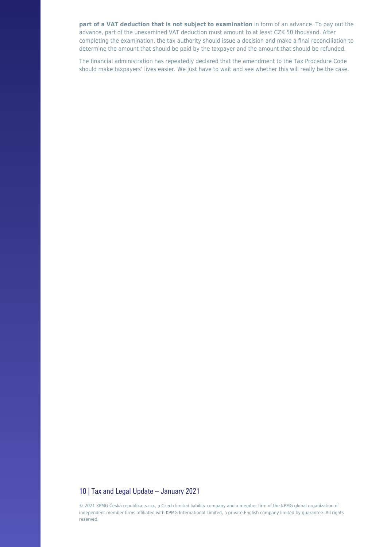**part of a VAT deduction that is not subject to examination** in form of an advance. To pay out the advance, part of the unexamined VAT deduction must amount to at least CZK 50 thousand. After completing the examination, the tax authority should issue a decision and make a final reconciliation to determine the amount that should be paid by the taxpayer and the amount that should be refunded.

The financial administration has repeatedly declared that the amendment to the Tax Procedure Code should make taxpayers' lives easier. We just have to wait and see whether this will really be the case.

#### 10 | Tax and Legal Update – January 2021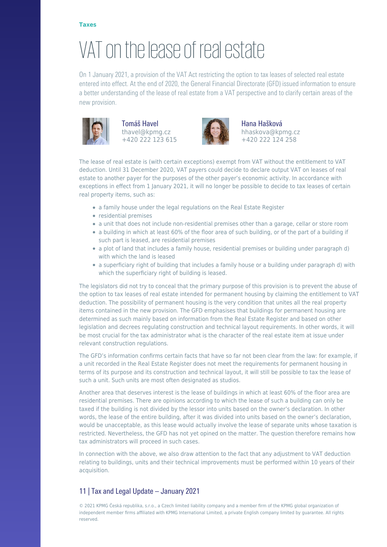#### **[Taxes](https://danovky.cz/en/category/taxes)**

# [VAT on the lease of real estate](https://danovky.cz/en/vat-on-the-lease-of-real-estate)

On 1 January 2021, a provision of the VAT Act restricting the option to tax leases of selected real estate entered into effect. At the end of 2020, the General Financial Directorate (GFD) issued information to ensure a better understanding of the lease of real estate from a VAT perspective and to clarify certain areas of the new provision.



Tomáš Havel thavel@kpmg.cz +420 222 123 615



Hana Hašková hhaskova@kpmg.cz +420 222 124 258

The lease of real estate is (with certain exceptions) exempt from VAT without the entitlement to VAT deduction. Until 31 December 2020, VAT payers could decide to declare output VAT on leases of real estate to another payer for the purposes of the other payer's economic activity. In accordance with exceptions in effect from 1 January 2021, it will no longer be possible to decide to tax leases of certain real property items, such as:

- a family house under the legal regulations on the Real Estate Register
- residential premises
- a unit that does not include non-residential premises other than a garage, cellar or store room
- a building in which at least 60% of the floor area of such building, or of the part of a building if such part is leased, are residential premises
- a plot of land that includes a family house, residential premises or building under paragraph d) with which the land is leased
- a superficiary right of building that includes a family house or a building under paragraph d) with which the superficiary right of building is leased.

The legislators did not try to conceal that the primary purpose of this provision is to prevent the abuse of the option to tax leases of real estate intended for permanent housing by claiming the entitlement to VAT deduction. The possibility of permanent housing is the very condition that unites all the real property items contained in the new provision. The GFD emphasises that buildings for permanent housing are determined as such mainly based on information from the Real Estate Register and based on other legislation and decrees regulating construction and technical layout requirements. In other words, it will be most crucial for the tax administrator what is the character of the real estate item at issue under relevant construction regulations.

The GFD's information confirms certain facts that have so far not been clear from the law: for example, if a unit recorded in the Real Estate Register does not meet the requirements for permanent housing in terms of its purpose and its construction and technical layout, it will still be possible to tax the lease of such a unit. Such units are most often designated as studios.

Another area that deserves interest is the lease of buildings in which at least 60% of the floor area are residential premises. There are opinions according to which the lease of such a building can only be taxed if the building is not divided by the lessor into units based on the owner's declaration. In other words, the lease of the entire building, after it was divided into units based on the owner's declaration, would be unacceptable, as this lease would actually involve the lease of separate units whose taxation is restricted. Nevertheless, the GFD has not yet opined on the matter. The question therefore remains how tax administrators will proceed in such cases.

In connection with the above, we also draw attention to the fact that any adjustment to VAT deduction relating to buildings, units and their technical improvements must be performed within 10 years of their acquisition.

### 11 | Tax and Legal Update – January 2021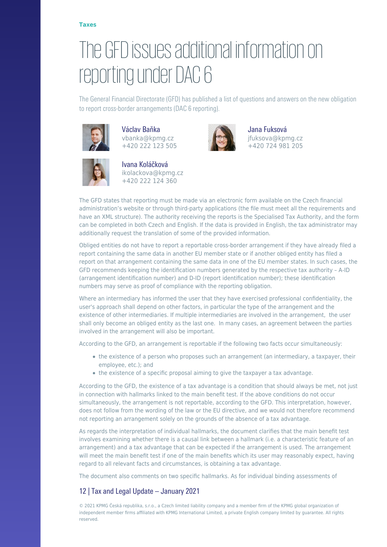# [The GFD issues additional information on](https://danovky.cz/en/the-gfd-issues-additional-information-on-reporting-under-dac-6) [reporting under DAC 6](https://danovky.cz/en/the-gfd-issues-additional-information-on-reporting-under-dac-6)

The General Financial Directorate (GFD) has published a list of questions and answers on the new obligation to report cross-border arrangements (DAC 6 reporting).

> Jana Fuksová jfuksova@kpmg.cz +420 724 981 205



Václav Baňka vbanka@kpmg.cz +420 222 123 505



Ivana Koláčková ikolackova@kpmg.cz +420 222 124 360

additionally request the translation of some of the provided information.

The GFD states that reporting must be made via an electronic form available on the Czech financial administration's website or through third-party applications (the file must meet all the requirements and have an XML structure). The authority receiving the reports is the Specialised Tax Authority, and the form can be completed in both Czech and English. If the data is provided in English, the tax administrator may

Obliged entities do not have to report a reportable cross-border arrangement if they have already filed a report containing the same data in another EU member state or if another obliged entity has filed a report on that arrangement containing the same data in one of the EU member states. In such cases, the GFD recommends keeping the identification numbers generated by the respective tax authority – A-ID (arrangement identification number) and D-ID (report identification number); these identification numbers may serve as proof of compliance with the reporting obligation.

Where an intermediary has informed the user that they have exercised professional confidentiality, the user's approach shall depend on other factors, in particular the type of the arrangement and the existence of other intermediaries. If multiple intermediaries are involved in the arrangement, the user shall only become an obliged entity as the last one. In many cases, an agreement between the parties involved in the arrangement will also be important.

According to the GFD, an arrangement is reportable if the following two facts occur simultaneously:

- the existence of a person who proposes such an arrangement (an intermediary, a taxpayer, their employee, etc.); and
- the existence of a specific proposal aiming to give the taxpayer a tax advantage.

According to the GFD, the existence of a tax advantage is a condition that should always be met, not just in connection with hallmarks linked to the main benefit test. If the above conditions do not occur simultaneously, the arrangement is not reportable, according to the GFD. This interpretation, however, does not follow from the wording of the law or the EU directive, and we would not therefore recommend not reporting an arrangement solely on the grounds of the absence of a tax advantage.

As regards the interpretation of individual hallmarks, the document clarifies that the main benefit test involves examining whether there is a causal link between a hallmark (i.e. a characteristic feature of an arrangement) and a tax advantage that can be expected if the arrangement is used. The arrangement will meet the main benefit test if one of the main benefits which its user may reasonably expect, having regard to all relevant facts and circumstances, is obtaining a tax advantage.

The document also comments on two specific hallmarks. As for individual binding assessments of

### 12 | Tax and Legal Update – January 2021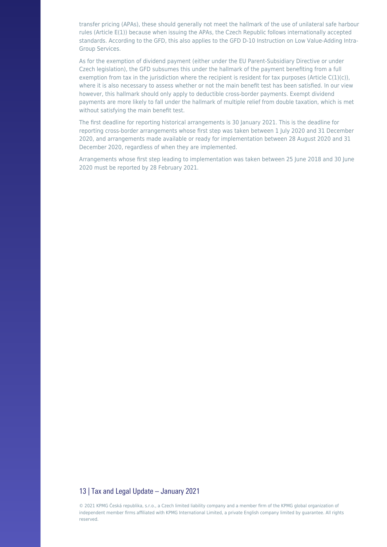transfer pricing (APAs), these should generally not meet the hallmark of the use of unilateral safe harbour rules (Article E(1)) because when issuing the APAs, the Czech Republic follows internationally accepted standards. According to the GFD, this also applies to the GFD D-10 Instruction on Low Value-Adding Intra-Group Services.

As for the exemption of dividend payment (either under the EU Parent-Subsidiary Directive or under Czech legislation), the GFD subsumes this under the hallmark of the payment benefiting from a full exemption from tax in the jurisdiction where the recipient is resident for tax purposes (Article  $C(1)(c)$ ), where it is also necessary to assess whether or not the main benefit test has been satisfied. In our view however, this hallmark should only apply to deductible cross-border payments. Exempt dividend payments are more likely to fall under the hallmark of multiple relief from double taxation, which is met without satisfying the main benefit test.

The first deadline for reporting historical arrangements is 30 January 2021. This is the deadline for reporting cross-border arrangements whose first step was taken between 1 July 2020 and 31 December 2020, and arrangements made available or ready for implementation between 28 August 2020 and 31 December 2020, regardless of when they are implemented.

Arrangements whose first step leading to implementation was taken between 25 June 2018 and 30 June 2020 must be reported by 28 February 2021.

#### 13 | Tax and Legal Update – January 2021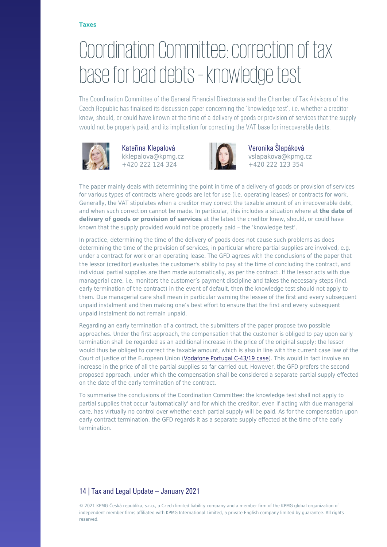### [Coordination Committee: correction of tax](https://danovky.cz/en/coordination-committee-correction-of-tax-base-for-bad-debts-knowledge-test) [base for bad debts – knowledge test](https://danovky.cz/en/coordination-committee-correction-of-tax-base-for-bad-debts-knowledge-test)

The Coordination Committee of the General Financial Directorate and the Chamber of Tax Advisors of the Czech Republic has finalised its discussion paper concerning the 'knowledge test', i.e. whether a creditor knew, should, or could have known at the time of a delivery of goods or provision of services that the supply would not be properly paid, and its implication for correcting the VAT base for irrecoverable debts.



Kateřina Klepalová kklepalova@kpmg.cz +420 222 124 324



Veronika Šlapáková vslapakova@kpmg.cz +420 222 123 354

The paper mainly deals with determining the point in time of a delivery of goods or provision of services for various types of contracts where goods are let for use (i.e. operating leases) or contracts for work. Generally, the VAT stipulates when a creditor may correct the taxable amount of an irrecoverable debt, and when such correction cannot be made. In particular, this includes a situation where at **the date of delivery of goods or provision of services** at the latest the creditor knew, should, or could have known that the supply provided would not be properly paid – the 'knowledge test'.

In practice, determining the time of the delivery of goods does not cause such problems as does determining the time of the provision of services, in particular where partial supplies are involved, e.g. under a contract for work or an operating lease. The GFD agrees with the conclusions of the paper that the lessor (creditor) evaluates the customer's ability to pay at the time of concluding the contract, and individual partial supplies are then made automatically, as per the contract. If the lessor acts with due managerial care, i.e. monitors the customer's payment discipline and takes the necessary steps (incl. early termination of the contract) in the event of default, then the knowledge test should not apply to them. Due managerial care shall mean in particular warning the lessee of the first and every subsequent unpaid instalment and then making one's best effort to ensure that the first and every subsequent unpaid instalment do not remain unpaid.

Regarding an early termination of a contract, the submitters of the paper propose two possible approaches. Under the first approach, the compensation that the customer is obliged to pay upon early termination shall be regarded as an additional increase in the price of the original supply; the lessor would thus be obliged to correct the taxable amount, which is also in line with the current case law of the Court of Justice of the European Union ([Vodafone Portugal C-43/19 case](https://danovky.cz/en/compensation-for-unrealised-service-paid-upon-early-contract-termination-subject-to-vat)). This would in fact involve an increase in the price of all the partial supplies so far carried out. However, the GFD prefers the second proposed approach, under which the compensation shall be considered a separate partial supply effected on the date of the early termination of the contract.

To summarise the conclusions of the Coordination Committee: the knowledge test shall not apply to partial supplies that occur 'automatically' and for which the creditor, even if acting with due managerial care, has virtually no control over whether each partial supply will be paid. As for the compensation upon early contract termination, the GFD regards it as a separate supply effected at the time of the early termination.

### 14 | Tax and Legal Update – January 2021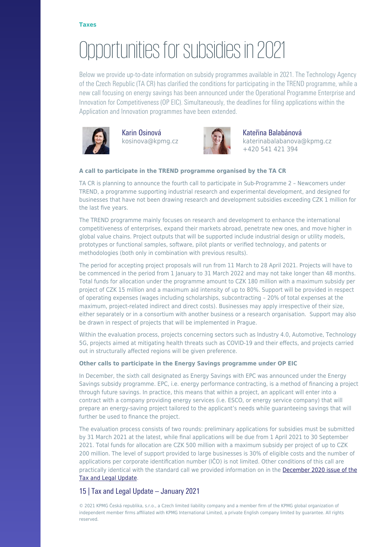# [Opportunities for subsidies in 2021](https://danovky.cz/en/opportunities-for-subsidies-in-2021)

Below we provide up-to-date information on subsidy programmes available in 2021. The Technology Agency of the Czech Republic (TA CR) has clarified the conditions for participating in the TREND programme, while a new call focusing on energy savings has been announced under the Operational Programme Enterprise and Innovation for Competitiveness (OP EIC). Simultaneously, the deadlines for filing applications within the Application and Innovation programmes have been extended.



Karin Osinová kosinova@kpmg.cz



#### Kateřina Balabánová katerinabalabanova@kpmg.cz +420 541 421 394

#### **A call to participate in the TREND programme organised by the TA CR**

TA CR is planning to announce the fourth call to participate in Sub-Programme 2 – Newcomers under TREND, a programme supporting industrial research and experimental development, and designed for businesses that have not been drawing research and development subsidies exceeding CZK 1 million for the last five years.

The TREND programme mainly focuses on research and development to enhance the international competitiveness of enterprises, expand their markets abroad, penetrate new ones, and move higher in global value chains. Project outputs that will be supported include industrial design or utility models, prototypes or functional samples, software, pilot plants or verified technology, and patents or methodologies (both only in combination with previous results).

The period for accepting project proposals will run from 11 March to 28 April 2021. Projects will have to be commenced in the period from 1 January to 31 March 2022 and may not take longer than 48 months. Total funds for allocation under the programme amount to CZK 180 million with a maximum subsidy per project of CZK 15 million and a maximum aid intensity of up to 80%. Support will be provided in respect of operating expenses (wages including scholarships, subcontracting – 20% of total expenses at the maximum, project-related indirect and direct costs). Businesses may apply irrespective of their size, either separately or in a consortium with another business or a research organisation. Support may also be drawn in respect of projects that will be implemented in Prague.

Within the evaluation process, projects concerning sectors such as Industry 4.0, Automotive, Technology 5G, projects aimed at mitigating health threats such as COVID-19 and their effects, and projects carried out in structurally affected regions will be given preference.

#### **Other calls to participate in the Energy Savings programme under OP EIC**

In December, the sixth call designated as Energy Savings with EPC was announced under the Energy Savings subsidy programme. EPC, i.e. energy performance contracting, is a method of financing a project through future savings. In practice, this means that within a project, an applicant will enter into a contract with a company providing energy services (i.e. ESCO, or energy service company) that will prepare an energy-saving project tailored to the applicant's needs while guaranteeing savings that will further be used to finance the project.

The evaluation process consists of two rounds: preliminary applications for subsidies must be submitted by 31 March 2021 at the latest, while final applications will be due from 1 April 2021 to 30 September 2021. Total funds for allocation are CZK 500 million with a maximum subsidy per project of up to CZK 200 million. The level of support provided to large businesses is 30% of eligible costs and the number of applications per corporate identification number (IČO) is not limited. Other conditions of this call are practically identical with the standard call we provided information on in the [December 2020 issue of the](https://danovky.cz/en/last-calls-under-opeic) [Tax and Legal Update.](https://danovky.cz/en/last-calls-under-opeic)

### 15 | Tax and Legal Update – January 2021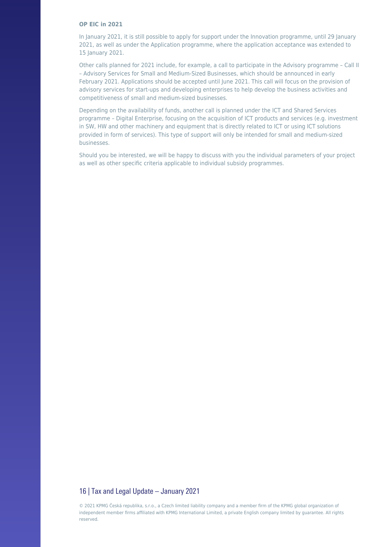#### **OP EIC in 2021**

In January 2021, it is still possible to apply for support under the Innovation programme, until 29 January 2021, as well as under the Application programme, where the application acceptance was extended to 15 January 2021.

Other calls planned for 2021 include, for example, a call to participate in the Advisory programme – Call II – Advisory Services for Small and Medium-Sized Businesses, which should be announced in early February 2021. Applications should be accepted until June 2021. This call will focus on the provision of advisory services for start-ups and developing enterprises to help develop the business activities and competitiveness of small and medium-sized businesses.

Depending on the availability of funds, another call is planned under the ICT and Shared Services programme – Digital Enterprise, focusing on the acquisition of ICT products and services (e.g. investment in SW, HW and other machinery and equipment that is directly related to ICT or using ICT solutions provided in form of services). This type of support will only be intended for small and medium-sized businesses.

Should you be interested, we will be happy to discuss with you the individual parameters of your project as well as other specific criteria applicable to individual subsidy programmes.

#### 16 | Tax and Legal Update – January 2021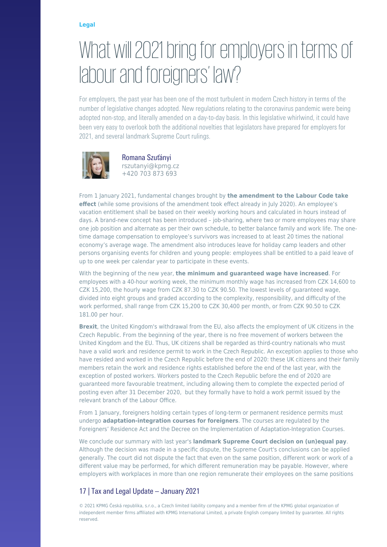#### **[Legal](https://danovky.cz/en/category/legal)**

### [What will 2021 bring for employers in terms of](https://danovky.cz/en/what-will-2021-bring-for-employers-in-terms-of-labour-and-foreigners-law) [labour and foreigners' law?](https://danovky.cz/en/what-will-2021-bring-for-employers-in-terms-of-labour-and-foreigners-law)

For employers, the past year has been one of the most turbulent in modern Czech history in terms of the number of legislative changes adopted. New regulations relating to the coronavirus pandemic were being adopted non-stop, and literally amended on a day-to-day basis. In this legislative whirlwind, it could have been very easy to overlook both the additional novelties that legislators have prepared for employers for 2021, and several landmark Supreme Court rulings.



Romana Szuťányi rszutanyi@kpmg.cz +420 703 873 693

From 1 January 2021, fundamental changes brought by **the amendment to the Labour Code take effect** (while some provisions of the amendment took effect already in July 2020). An employee's vacation entitlement shall be based on their weekly working hours and calculated in hours instead of days. A brand-new concept has been introduced – job-sharing, where two or more employees may share one job position and alternate as per their own schedule, to better balance family and work life. The onetime damage compensation to employee's survivors was increased to at least 20 times the national economy's average wage. The amendment also introduces leave for holiday camp leaders and other persons organising events for children and young people: employees shall be entitled to a paid leave of up to one week per calendar year to participate in these events.

With the beginning of the new year, **the minimum and guaranteed wage have increased**. For employees with a 40-hour working week, the minimum monthly wage has increased from CZK 14,600 to CZK 15,200, the hourly wage from CZK 87.30 to CZK 90.50. The lowest levels of guaranteed wage, divided into eight groups and graded according to the complexity, responsibility, and difficulty of the work performed, shall range from CZK 15,200 to CZK 30,400 per month, or from CZK 90.50 to CZK 181.00 per hour.

**Brexit**, the United Kingdom's withdrawal from the EU, also affects the employment of UK citizens in the Czech Republic. From the beginning of the year, there is no free movement of workers between the United Kingdom and the EU. Thus, UK citizens shall be regarded as third-country nationals who must have a valid work and residence permit to work in the Czech Republic. An exception applies to those who have resided and worked in the Czech Republic before the end of 2020: these UK citizens and their family members retain the work and residence rights established before the end of the last year, with the exception of posted workers. Workers posted to the Czech Republic before the end of 2020 are guaranteed more favourable treatment, including allowing them to complete the expected period of posting even after 31 December 2020, but they formally have to hold a work permit issued by the relevant branch of the Labour Office.

From 1 January, foreigners holding certain types of long-term or permanent residence permits must undergo **adaptation-integration courses for foreigners**. The courses are regulated by the Foreigners' Residence Act and the Decree on the Implementation of Adaptation-Integration Courses.

We conclude our summary with last year's **landmark Supreme Court decision on (un)equal pay**. Although the decision was made in a specific dispute, the Supreme Court's conclusions can be applied generally. The court did not dispute the fact that even on the same position, different work or work of a different value may be performed, for which different remuneration may be payable. However, where employers with workplaces in more than one region remunerate their employees on the same positions

### 17 | Tax and Legal Update – January 2021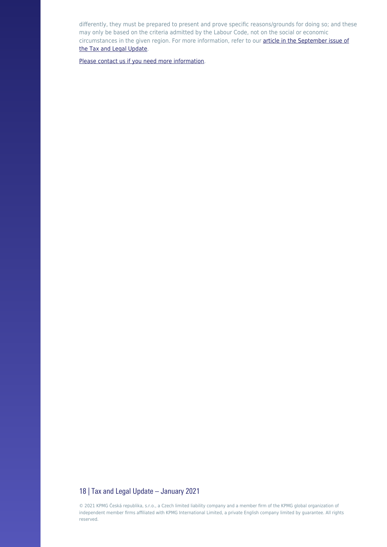differently, they must be prepared to present and prove specific reasons/grounds for doing so; and these may only be based on the criteria admitted by the Labour Code, not on the social or economic circumstances in the given region. For more information, refer to our **[article in the September issue of](https://danovky.cz/en/supreme-court-same-wage-for-same-work-in-prague-and-elsewhere)** [the Tax and Legal Update.](https://danovky.cz/en/supreme-court-same-wage-for-same-work-in-prague-and-elsewhere)

[Please contact us if you need more information](https://assets.kpmg/content/dam/kpmg/cz/pdf/2021/Compliance-scan-eng.pdf).

#### 18 | Tax and Legal Update - January 2021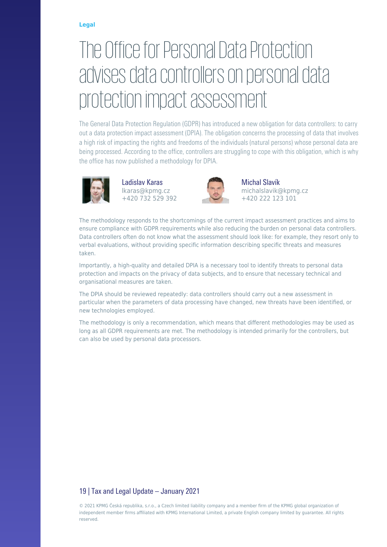#### **[Legal](https://danovky.cz/en/category/legal)**

# [The Office for Personal Data Protection](https://danovky.cz/en/the-office-for-personal-data-protection-advises-data-controllers-on-personal-data-protection-impact-assessment) [advises data controllers on personal data](https://danovky.cz/en/the-office-for-personal-data-protection-advises-data-controllers-on-personal-data-protection-impact-assessment) [protection impact assessment](https://danovky.cz/en/the-office-for-personal-data-protection-advises-data-controllers-on-personal-data-protection-impact-assessment)

The General Data Protection Regulation (GDPR) has introduced a new obligation for data controllers: to carry out a data protection impact assessment (DPIA). The obligation concerns the processing of data that involves a high risk of impacting the rights and freedoms of the individuals (natural persons) whose personal data are being processed. According to the office, controllers are struggling to cope with this obligation, which is why the office has now published a methodology for DPIA.



Ladislav Karas lkaras@kpmg.cz +420 732 529 392



Michal Slavík michalslavik@kpmg.cz +420 222 123 101

The methodology responds to the shortcomings of the current impact assessment practices and aims to ensure compliance with GDPR requirements while also reducing the burden on personal data controllers. Data controllers often do not know what the assessment should look like: for example, they resort only to verbal evaluations, without providing specific information describing specific threats and measures taken.

Importantly, a high-quality and detailed DPIA is a necessary tool to identify threats to personal data protection and impacts on the privacy of data subjects, and to ensure that necessary technical and organisational measures are taken.

The DPIA should be reviewed repeatedly: data controllers should carry out a new assessment in particular when the parameters of data processing have changed, new threats have been identified, or new technologies employed.

The methodology is only a recommendation, which means that different methodologies may be used as long as all GDPR requirements are met. The methodology is intended primarily for the controllers, but can also be used by personal data processors.

### 19 | Tax and Legal Update – January 2021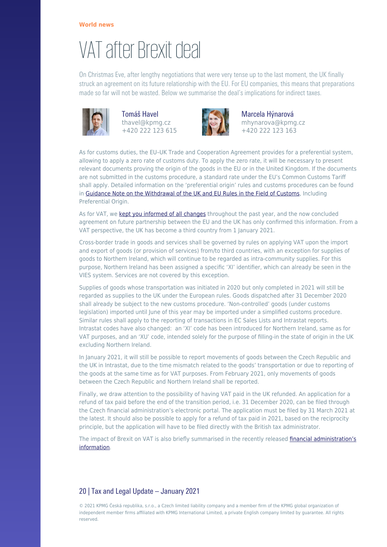### [VAT after Brexit deal](https://danovky.cz/en/vat-after-brexit-deal)

On Christmas Eve, after lengthy negotiations that were very tense up to the last moment, the UK finally struck an agreement on its future relationship with the EU. For EU companies, this means that preparations made so far will not be wasted. Below we summarise the deal's implications for indirect taxes.



Tomáš Havel thavel@kpmg.cz +420 222 123 615



Marcela Hýnarová mhynarova@kpmg.cz +420 222 123 163

As for customs duties, the EU–UK Trade and Cooperation Agreement provides for a preferential system, allowing to apply a zero rate of customs duty. To apply the zero rate, it will be necessary to present relevant documents proving the origin of the goods in the EU or in the United Kingdom. If the documents are not submitted in the customs procedure, a standard rate under the EU's Common Customs Tariff shall apply. Detailed information on the 'preferential origin' rules and customs procedures can be found in [Guidance Note on the Withdrawal of the UK and EU Rules in the Field of Customs,](https://ec.europa.eu/info/sites/info/files/file_import/guidance-customs-procedures_cs_1.pdf) Including Preferential Origin.

As for VAT, we [kept you informed of all changes](https://danovky.cz/en/customs-procedure-post-brexit) throughout the past year, and the now concluded agreement on future partnership between the EU and the UK has only confirmed this information. From a VAT perspective, the UK has become a third country from 1 January 2021.

Cross-border trade in goods and services shall be governed by rules on applying VAT upon the import and export of goods (or provision of services) from/to third countries, with an exception for supplies of goods to Northern Ireland, which will continue to be regarded as intra-community supplies. For this purpose, Northern Ireland has been assigned a specific 'XI' identifier, which can already be seen in the VIES system. Services are not covered by this exception.

Supplies of goods whose transportation was initiated in 2020 but only completed in 2021 will still be regarded as supplies to the UK under the European rules. Goods dispatched after 31 December 2020 shall already be subject to the new customs procedure. 'Non-controlled' goods (under customs legislation) imported until June of this year may be imported under a simplified customs procedure. Similar rules shall apply to the reporting of transactions in EC Sales Lists and Intrastat reports. Intrastat codes have also changed: an 'XI' code has been introduced for Northern Ireland, same as for VAT purposes, and an 'XU' code, intended solely for the purpose of filling-in the state of origin in the UK excluding Northern Ireland.

In January 2021, it will still be possible to report movements of goods between the Czech Republic and the UK in Intrastat, due to the time mismatch related to the goods' transportation or due to reporting of the goods at the same time as for VAT purposes. From February 2021, only movements of goods between the Czech Republic and Northern Ireland shall be reported.

Finally, we draw attention to the possibility of having VAT paid in the UK refunded. An application for a refund of tax paid before the end of the transition period, i.e. 31 December 2020, can be filed through the Czech financial administration's electronic portal. The application must be filed by 31 March 2021 at the latest. It should also be possible to apply for a refund of tax paid in 2021, based on the reciprocity principle, but the application will have to be filed directly with the British tax administrator.

The impact of Brexit on VAT is also briefly summarised in the recently released [financial administration's](http://www.financnisprava.cz/cs/dane/dane/dan-z-pridane-hodnoty/informace-stanoviska-a-sdeleni/inf-k-dopadum-brexitu-oblast-dph) [information.](http://www.financnisprava.cz/cs/dane/dane/dan-z-pridane-hodnoty/informace-stanoviska-a-sdeleni/inf-k-dopadum-brexitu-oblast-dph)

### 20 | Tax and Legal Update – January 2021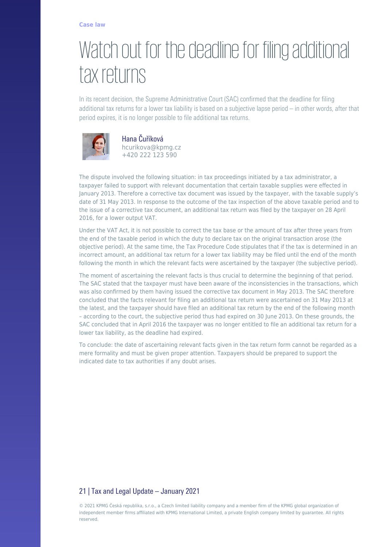### [Watch out for the deadline for filing additional](https://danovky.cz/en/watch-out-for-the-deadline-for-filing-additional-tax-returns) [tax returns](https://danovky.cz/en/watch-out-for-the-deadline-for-filing-additional-tax-returns)

In its recent decision, the Supreme Administrative Court (SAC) confirmed that the deadline for filing additional tax returns for a lower tax liability is based on a subjective lapse period – in other words, after that period expires, it is no longer possible to file additional tax returns.



Hana Čuříková hcurikova@kpmg.cz +420 222 123 590

The dispute involved the following situation: in tax proceedings initiated by a tax administrator, a taxpayer failed to support with relevant documentation that certain taxable supplies were effected in January 2013. Therefore a corrective tax document was issued by the taxpayer, with the taxable supply's date of 31 May 2013. In response to the outcome of the tax inspection of the above taxable period and to the issue of a corrective tax document, an additional tax return was filed by the taxpayer on 28 April 2016, for a lower output VAT.

Under the VAT Act, it is not possible to correct the tax base or the amount of tax after three years from the end of the taxable period in which the duty to declare tax on the original transaction arose (the objective period). At the same time, the Tax Procedure Code stipulates that if the tax is determined in an incorrect amount, an additional tax return for a lower tax liability may be filed until the end of the month following the month in which the relevant facts were ascertained by the taxpayer (the subjective period).

The moment of ascertaining the relevant facts is thus crucial to determine the beginning of that period. The SAC stated that the taxpayer must have been aware of the inconsistencies in the transactions, which was also confirmed by them having issued the corrective tax document in May 2013. The SAC therefore concluded that the facts relevant for filing an additional tax return were ascertained on 31 May 2013 at the latest, and the taxpayer should have filed an additional tax return by the end of the following month – according to the court, the subjective period thus had expired on 30 June 2013. On these grounds, the SAC concluded that in April 2016 the taxpayer was no longer entitled to file an additional tax return for a lower tax liability, as the deadline had expired.

To conclude: the date of ascertaining relevant facts given in the tax return form cannot be regarded as a mere formality and must be given proper attention. Taxpayers should be prepared to support the indicated date to tax authorities if any doubt arises.

### 21 | Tax and Legal Update – January 2021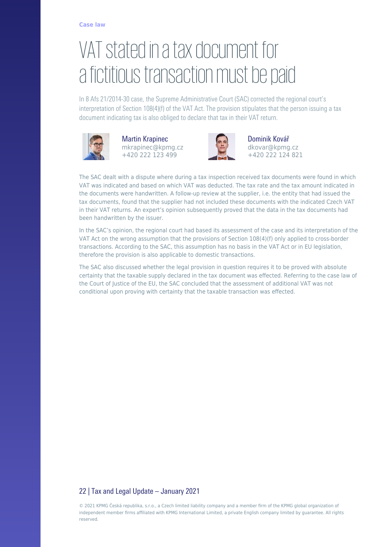# [VAT stated in a tax document for](https://danovky.cz/en/vat-stated-in-a-tax-document-for-a-fictitious-transaction-must-be-paid) [a fictitious transaction must be paid](https://danovky.cz/en/vat-stated-in-a-tax-document-for-a-fictitious-transaction-must-be-paid)

In 8 Afs 21/2014-30 case, the Supreme Administrative Court (SAC) corrected the regional court's interpretation of Section 108(4)(f) of the VAT Act. The provision stipulates that the person issuing a tax document indicating tax is also obliged to declare that tax in their VAT return.



Martin Krapinec mkrapinec@kpmg.cz +420 222 123 499



Dominik Kovář dkovar@kpmg.cz +420 222 124 821

The SAC dealt with a dispute where during a tax inspection received tax documents were found in which VAT was indicated and based on which VAT was deducted. The tax rate and the tax amount indicated in the documents were handwritten. A follow-up review at the supplier, i.e. the entity that had issued the tax documents, found that the supplier had not included these documents with the indicated Czech VAT in their VAT returns. An expert's opinion subsequently proved that the data in the tax documents had been handwritten by the issuer.

In the SAC's opinion, the regional court had based its assessment of the case and its interpretation of the VAT Act on the wrong assumption that the provisions of Section 108(4)(f) only applied to cross-border transactions. According to the SAC, this assumption has no basis in the VAT Act or in EU legislation, therefore the provision is also applicable to domestic transactions.

The SAC also discussed whether the legal provision in question requires it to be proved with absolute certainty that the taxable supply declared in the tax document was effected. Referring to the case law of the Court of Justice of the EU, the SAC concluded that the assessment of additional VAT was not conditional upon proving with certainty that the taxable transaction was effected.

### 22 | Tax and Legal Update – January 2021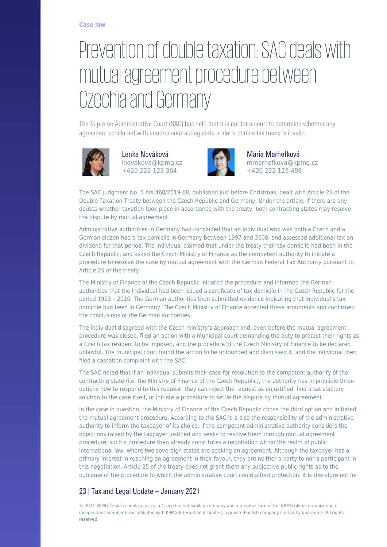# [Prevention of double taxation: SAC deals with](https://danovky.cz/en/prevention-of-double-taxation-sac-deals-with-mutual-agreement-procedure-between-czechia-and-germany) [mutual agreement procedure between](https://danovky.cz/en/prevention-of-double-taxation-sac-deals-with-mutual-agreement-procedure-between-czechia-and-germany) [Czechia and Germany](https://danovky.cz/en/prevention-of-double-taxation-sac-deals-with-mutual-agreement-procedure-between-czechia-and-germany)

The Supreme Administrative Court (SAC) has held that it is not for a court to determine whether any agreement concluded with another contracting state under a double tax treaty is invalid.



Lenka Nováková lnovakova@kpmg.cz +420 222 123 364



Mária Marhefková mmarhefkova@kpmg.cz +420 222 123 498

The SAC judgment No. 5 Afs 468/2019-68, published just before Christmas, dealt with Article 25 of the Double Taxation Treaty between the Czech Republic and Germany. Under the article, if there are any doubts whether taxation took place in accordance with the treaty, both contracting states may resolve the dispute by mutual agreement.

Administrative authorities in Germany had concluded that an individual who was both a Czech and a German citizen had a tax domicile in Germany between 1997 and 2008, and assessed additional tax on dividend for that period. The individual claimed that under the treaty their tax domicile had been in the Czech Republic, and asked the Czech Ministry of Finance as the competent authority to initiate a procedure to resolve the case by mutual agreement with the German Federal Tax Authority pursuant to Article 25 of the treaty.

The Ministry of Finance of the Czech Republic initiated the procedure and informed the German authorities that the individual had been issued a certificate of tax domicile in the Czech Republic for the period 1993 – 2010. The German authorities then submitted evidence indicating that individual's tax domicile had been in Germany. The Czech Ministry of Finance accepted these arguments and confirmed the conclusions of the German authorities.

The individual disagreed with the Czech ministry's approach and, even before the mutual agreement procedure was closed, filed an action with a municipal court demanding the duty to protect their rights as a Czech tax resident to be imposed, and the procedure of the Czech Ministry of Finance to be declared unlawful. The municipal court found the action to be unfounded and dismissed it, and the individual then filed a cassation complaint with the SAC.

The SAC noted that if an individual submits their case for resolution to the competent authority of the contracting state (i.e. the Ministry of Finance of the Czech Republic), the authority has in principle three options how to respond to this request: they can reject the request as unjustified, find a satisfactory solution to the case itself, or initiate a procedure to settle the dispute by mutual agreement.

In the case in question, the Ministry of Finance of the Czech Republic chose the third option and initiated the mutual agreement procedure. According to the SAC it is also the responsibility of the administrative authority to inform the taxpayer of its choice. If the competent administrative authority considers the objections raised by the taxpayer justified and seeks to resolve them through mutual agreement procedure, such a procedure then already constitutes a negotiation within the realm of public international law, where two sovereign states are seeking an agreement. Although the taxpayer has a primary interest in reaching an agreement in their favour, they are neither a party to nor a participant in this negotiation. Article 25 of the treaty does not grant them any subjective public rights as to the outcome of the procedure to which the administrative court could afford protection. It is therefore not for

### 23 | Tax and Legal Update – January 2021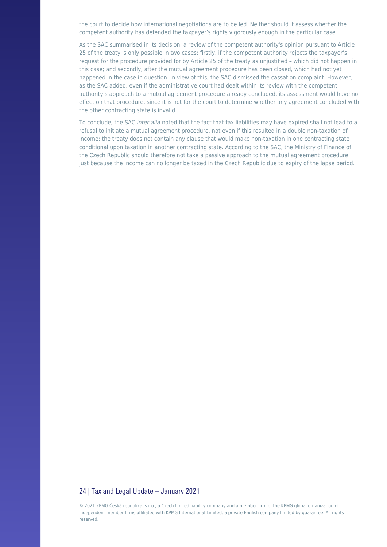the court to decide how international negotiations are to be led. Neither should it assess whether the competent authority has defended the taxpayer's rights vigorously enough in the particular case.

As the SAC summarised in its decision, a review of the competent authority's opinion pursuant to Article 25 of the treaty is only possible in two cases: firstly, if the competent authority rejects the taxpayer's request for the procedure provided for by Article 25 of the treaty as unjustified – which did not happen in this case; and secondly, after the mutual agreement procedure has been closed, which had not yet happened in the case in question. In view of this, the SAC dismissed the cassation complaint. However, as the SAC added, even if the administrative court had dealt within its review with the competent authority's approach to a mutual agreement procedure already concluded, its assessment would have no effect on that procedure, since it is not for the court to determine whether any agreement concluded with the other contracting state is invalid.

To conclude, the SAC inter alia noted that the fact that tax liabilities may have expired shall not lead to a refusal to initiate a mutual agreement procedure, not even if this resulted in a double non-taxation of income; the treaty does not contain any clause that would make non-taxation in one contracting state conditional upon taxation in another contracting state. According to the SAC, the Ministry of Finance of the Czech Republic should therefore not take a passive approach to the mutual agreement procedure just because the income can no longer be taxed in the Czech Republic due to expiry of the lapse period.

#### 24 | Tax and Legal Update – January 2021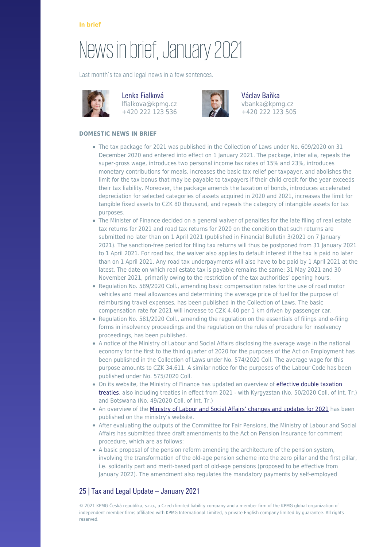# [News in brief, January 2021](https://danovky.cz/en/news-in-brief-january-2021)

Last month's tax and legal news in a few sentences.



Lenka Fialková lfialkova@kpmg.cz +420 222 123 536



Václav Baňka vbanka@kpmg.cz +420 222 123 505

#### **DOMESTIC NEWS IN BRIEF**

- The tax package for 2021 was published in the Collection of Laws under No. 609/2020 on 31 December 2020 and entered into effect on 1 January 2021. The package, inter alia, repeals the super-gross wage, introduces two personal income tax rates of 15% and 23%, introduces monetary contributions for meals, increases the basic tax relief per taxpayer, and abolishes the limit for the tax bonus that may be payable to taxpayers if their child credit for the year exceeds their tax liability. Moreover, the package amends the taxation of bonds, introduces accelerated depreciation for selected categories of assets acquired in 2020 and 2021, increases the limit for tangible fixed assets to CZK 80 thousand, and repeals the category of intangible assets for tax purposes.
- The Minister of Finance decided on a general waiver of penalties for the late filing of real estate tax returns for 2021 and road tax returns for 2020 on the condition that such returns are submitted no later than on 1 April 2021 (published in Financial Bulletin 3/2021 on 7 January 2021). The sanction-free period for filing tax returns will thus be postponed from 31 January 2021 to 1 April 2021. For road tax, the waiver also applies to default interest if the tax is paid no later than on 1 April 2021. Any road tax underpayments will also have to be paid by 1 April 2021 at the latest. The date on which real estate tax is payable remains the same: 31 May 2021 and 30 November 2021, primarily owing to the restriction of the tax authorities' opening hours.
- Regulation No. 589/2020 Coll., amending basic compensation rates for the use of road motor vehicles and meal allowances and determining the average price of fuel for the purpose of reimbursing travel expenses, has been published in the Collection of Laws. The basic compensation rate for 2021 will increase to CZK 4.40 per 1 km driven by passenger car.
- Regulation No. 581/2020 Coll., amending the regulation on the essentials of filings and e-filing forms in insolvency proceedings and the regulation on the rules of procedure for insolvency proceedings, has been published.
- A notice of the Ministry of Labour and Social Affairs disclosing the average wage in the national economy for the first to the third quarter of 2020 for the purposes of the Act on Employment has been published in the Collection of Laws under No. 574/2020 Coll. The average wage for this purpose amounts to CZK 34,611. A similar notice for the purposes of the Labour Code has been published under No. 575/2020 Coll.
- On its website, the Ministry of Finance has updated an overview of [effective double taxation](https://www.mfcr.cz/cs/legislativa/dvoji-zdaneni/prehled-platnych-smluv) [treaties,](https://www.mfcr.cz/cs/legislativa/dvoji-zdaneni/prehled-platnych-smluv) also including treaties in effect from 2021 - with Kyrgyzstan (No. 50/2020 Coll. of Int. Tr.) and Botswana (No. 49/2020 Coll. of Int. Tr.)
- An overview of the [Ministry of Labour and Social Affairs' changes and updates for 2021](https://www.mpsv.cz/documents/20142/1248138/18_12_2020_TZ_Co_se_zmeni_od_1_1_2021.pdf) has been published on the ministry's website.
- After evaluating the outputs of the Committee for Fair Pensions, the Ministry of Labour and Social Affairs has submitted three draft amendments to the Act on Pension Insurance for comment procedure, which are as follows:
- A basic proposal of the pension reform amending the architecture of the pension system, involving the transformation of the old-age pension scheme into the zero pillar and the first pillar, i.e. solidarity part and merit-based part of old-age pensions (proposed to be effective from January 2022). The amendment also regulates the mandatory payments by self-employed

### 25 | Tax and Legal Update – January 2021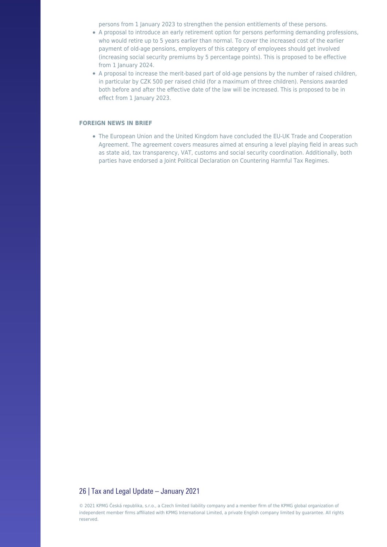persons from 1 January 2023 to strengthen the pension entitlements of these persons.

- A proposal to introduce an early retirement option for persons performing demanding professions, who would retire up to 5 years earlier than normal. To cover the increased cost of the earlier payment of old-age pensions, employers of this category of employees should get involved (increasing social security premiums by 5 percentage points). This is proposed to be effective from 1 January 2024.
- A proposal to increase the merit-based part of old-age pensions by the number of raised children, in particular by CZK 500 per raised child (for a maximum of three children). Pensions awarded both before and after the effective date of the law will be increased. This is proposed to be in effect from 1 January 2023.

#### **FOREIGN NEWS IN BRIEF**

The European Union and the United Kingdom have concluded the EU-UK Trade and Cooperation Agreement. The agreement covers measures aimed at ensuring a level playing field in areas such as state aid, tax transparency, VAT, customs and social security coordination. Additionally, both parties have endorsed a Joint Political Declaration on Countering Harmful Tax Regimes.

#### 26 | Tax and Legal Update – January 2021